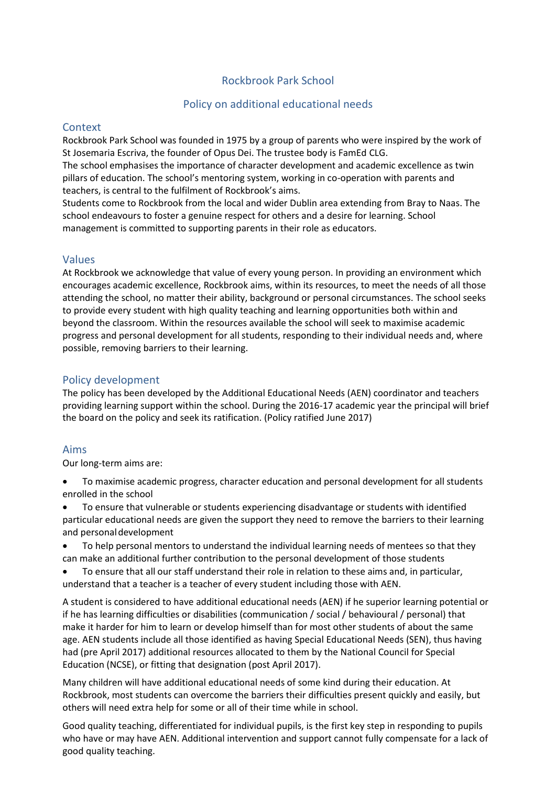# Rockbrook Park School

# Policy on additional educational needs

## **Context**

Rockbrook Park School was founded in 1975 by a group of parents who were inspired by the work of St Josemaria Escriva, the founder of Opus Dei. The trustee body is FamEd CLG.

The school emphasises the importance of character development and academic excellence as twin pillars of education. The school's mentoring system, working in co-operation with parents and teachers, is central to the fulfilment of Rockbrook's aims.

Students come to Rockbrook from the local and wider Dublin area extending from Bray to Naas. The school endeavours to foster a genuine respect for others and a desire for learning. School management is committed to supporting parents in their role as educators.

## Values

At Rockbrook we acknowledge that value of every young person. In providing an environment which encourages academic excellence, Rockbrook aims, within its resources, to meet the needs of all those attending the school, no matter their ability, background or personal circumstances. The school seeks to provide every student with high quality teaching and learning opportunities both within and beyond the classroom. Within the resources available the school will seek to maximise academic progress and personal development for all students, responding to their individual needs and, where possible, removing barriers to their learning.

## Policy development

The policy has been developed by the Additional Educational Needs (AEN) coordinator and teachers providing learning support within the school. During the 2016-17 academic year the principal will brief the board on the policy and seek its ratification. (Policy ratified June 2017)

## Aims

Our long-term aims are:

- To maximise academic progress, character education and personal development for all students enrolled in the school
- To ensure that vulnerable or students experiencing disadvantage or students with identified particular educational needs are given the support they need to remove the barriers to their learning and personaldevelopment
- To help personal mentors to understand the individual learning needs of mentees so that they can make an additional further contribution to the personal development of those students
- To ensure that all our staff understand their role in relation to these aims and, in particular, understand that a teacher is a teacher of every student including those with AEN.

A student is considered to have additional educational needs (AEN) if he superior learning potential or if he has learning difficulties or disabilities (communication / social / behavioural / personal) that make it harder for him to learn or develop himself than for most other students of about the same age. AEN students include all those identified as having Special Educational Needs (SEN), thus having had (pre April 2017) additional resources allocated to them by the National Council for Special Education (NCSE), or fitting that designation (post April 2017).

Many children will have additional educational needs of some kind during their education. At Rockbrook, most students can overcome the barriers their difficulties present quickly and easily, but others will need extra help for some or all of their time while in school.

Good quality teaching, differentiated for individual pupils, is the first key step in responding to pupils who have or may have AEN. Additional intervention and support cannot fully compensate for a lack of good quality teaching.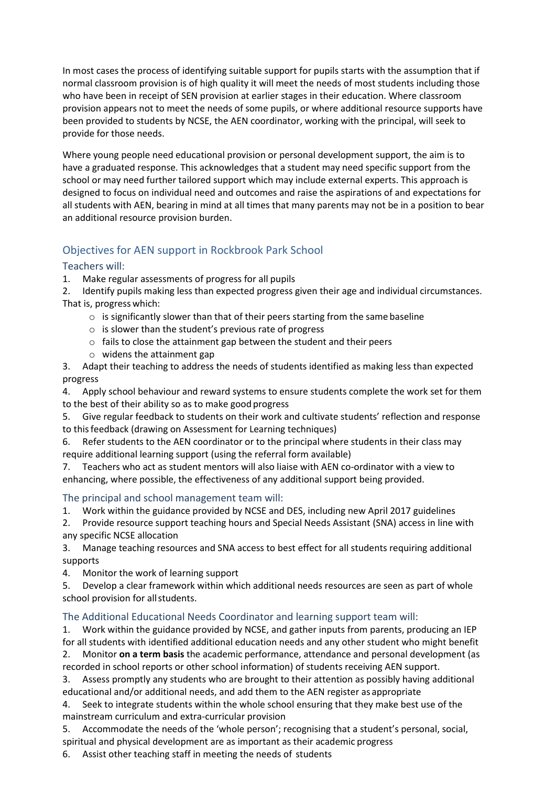In most cases the process of identifying suitable support for pupils starts with the assumption that if normal classroom provision is of high quality it will meet the needs of most students including those who have been in receipt of SEN provision at earlier stages in their education. Where classroom provision appears not to meet the needs of some pupils, or where additional resource supports have been provided to students by NCSE, the AEN coordinator, working with the principal, will seek to provide for those needs.

Where young people need educational provision or personal development support, the aim is to have a graduated response. This acknowledges that a student may need specific support from the school or may need further tailored support which may include external experts. This approach is designed to focus on individual need and outcomes and raise the aspirations of and expectations for all students with AEN, bearing in mind at all times that many parents may not be in a position to bear an additional resource provision burden.

# Objectives for AEN support in Rockbrook Park School

# Teachers will:

1. Make regular assessments of progress for all pupils

2. Identify pupils making less than expected progress given their age and individual circumstances. That is, progress which:

- o is significantly slower than that of their peers starting from the same baseline
- o is slower than the student's previous rate of progress
- o fails to close the attainment gap between the student and their peers
- o widens the attainment gap
- 3. Adapt their teaching to address the needs of students identified as making less than expected progress

4. Apply school behaviour and reward systems to ensure students complete the work set for them to the best of their ability so as to make good progress

5. Give regular feedback to students on their work and cultivate students' reflection and response to thisfeedback (drawing on Assessment for Learning techniques)

6. Refer students to the AEN coordinator or to the principal where students in their class may require additional learning support (using the referral form available)

7. Teachers who act as student mentors will also liaise with AEN co-ordinator with a view to enhancing, where possible, the effectiveness of any additional support being provided.

## The principal and school management team will:

1. Work within the guidance provided by NCSE and DES, including new April 2017 guidelines

2. Provide resource support teaching hours and Special Needs Assistant (SNA) access in line with any specific NCSE allocation

3. Manage teaching resources and SNA access to best effect for all students requiring additional supports

4. Monitor the work of learning support

5. Develop a clear framework within which additional needs resources are seen as part of whole school provision for allstudents.

# The Additional Educational Needs Coordinator and learning support team will:

1. Work within the guidance provided by NCSE, and gather inputs from parents, producing an IEP for all students with identified additional education needs and any other student who might benefit 2. Monitor **on a term basis** the academic performance, attendance and personal development (as recorded in school reports or other school information) of students receiving AEN support.

3. Assess promptly any students who are brought to their attention as possibly having additional educational and/or additional needs, and add them to the AEN register as appropriate

4. Seek to integrate students within the whole school ensuring that they make best use of the mainstream curriculum and extra-curricular provision

5. Accommodate the needs of the 'whole person'; recognising that a student's personal, social, spiritual and physical development are as important as their academic progress

6. Assist other teaching staff in meeting the needs of students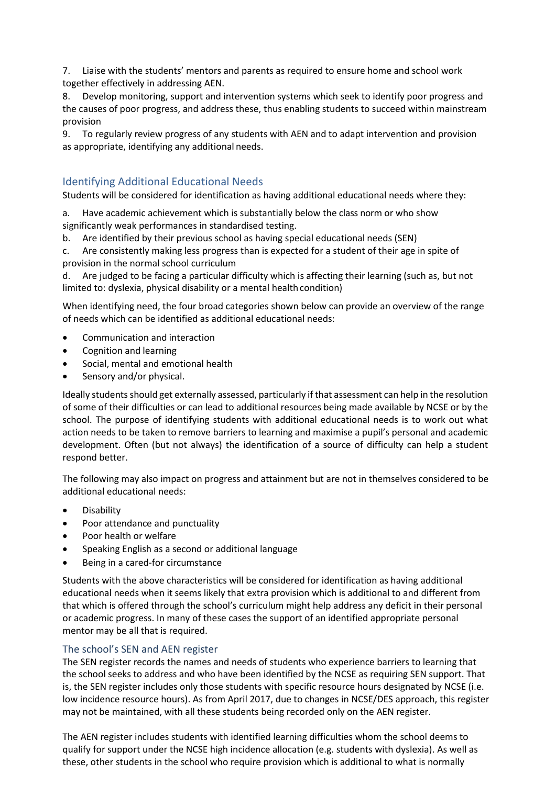7. Liaise with the students' mentors and parents as required to ensure home and school work together effectively in addressing AEN.

8. Develop monitoring, support and intervention systems which seek to identify poor progress and the causes of poor progress, and address these, thus enabling students to succeed within mainstream provision

9. To regularly review progress of any students with AEN and to adapt intervention and provision as appropriate, identifying any additional needs.

# Identifying Additional Educational Needs

Students will be considered for identification as having additional educational needs where they:

a. Have academic achievement which is substantially below the class norm or who show significantly weak performances in standardised testing.

Are identified by their previous school as having special educational needs (SEN)

c. Are consistently making less progress than is expected for a student of their age in spite of provision in the normal school curriculum

d. Are judged to be facing a particular difficulty which is affecting their learning (such as, but not limited to: dyslexia, physical disability or a mental health condition)

When identifying need, the four broad categories shown below can provide an overview of the range of needs which can be identified as additional educational needs:

- Communication and interaction
- Cognition and learning
- Social, mental and emotional health
- Sensory and/or physical.

Ideally students should get externally assessed, particularly if that assessment can help in the resolution of some of their difficulties or can lead to additional resources being made available by NCSE or by the school. The purpose of identifying students with additional educational needs is to work out what action needs to be taken to remove barriers to learning and maximise a pupil's personal and academic development. Often (but not always) the identification of a source of difficulty can help a student respond better.

The following may also impact on progress and attainment but are not in themselves considered to be additional educational needs:

- Disability
- Poor attendance and punctuality
- Poor health or welfare
- Speaking English as a second or additional language
- Being in a cared-for circumstance

Students with the above characteristics will be considered for identification as having additional educational needs when it seems likely that extra provision which is additional to and different from that which is offered through the school's curriculum might help address any deficit in their personal or academic progress. In many of these cases the support of an identified appropriate personal mentor may be all that is required.

## The school's SEN and AEN register

The SEN register records the names and needs of students who experience barriers to learning that the school seeks to address and who have been identified by the NCSE as requiring SEN support. That is, the SEN register includes only those students with specific resource hours designated by NCSE (i.e. low incidence resource hours). As from April 2017, due to changes in NCSE/DES approach, this register may not be maintained, with all these students being recorded only on the AEN register.

The AEN register includes students with identified learning difficulties whom the school deems to qualify for support under the NCSE high incidence allocation (e.g. students with dyslexia). As well as these, other students in the school who require provision which is additional to what is normally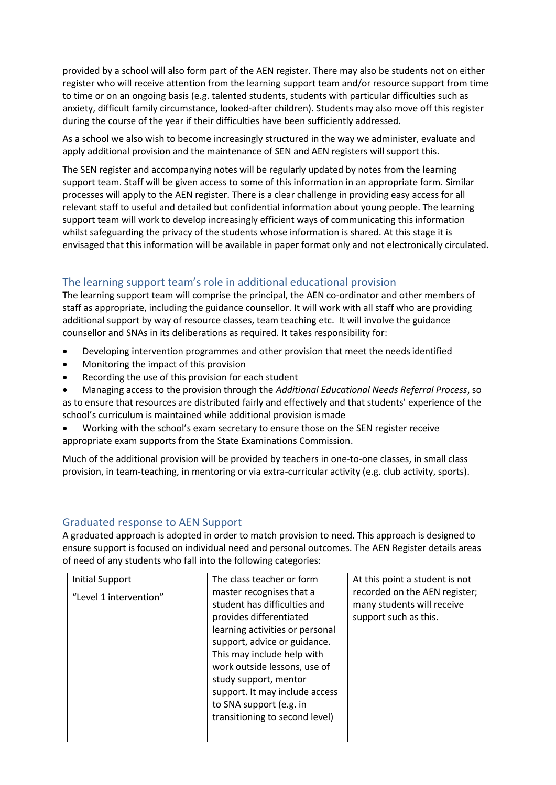provided by a school will also form part of the AEN register. There may also be students not on either register who will receive attention from the learning support team and/or resource support from time to time or on an ongoing basis (e.g. talented students, students with particular difficulties such as anxiety, difficult family circumstance, looked-after children). Students may also move off this register during the course of the year if their difficulties have been sufficiently addressed.

As a school we also wish to become increasingly structured in the way we administer, evaluate and apply additional provision and the maintenance of SEN and AEN registers will support this.

The SEN register and accompanying notes will be regularly updated by notes from the learning support team. Staff will be given access to some of this information in an appropriate form. Similar processes will apply to the AEN register. There is a clear challenge in providing easy access for all relevant staff to useful and detailed but confidential information about young people. The learning support team will work to develop increasingly efficient ways of communicating this information whilst safeguarding the privacy of the students whose information is shared. At this stage it is envisaged that this information will be available in paper format only and not electronically circulated.

# The learning support team's role in additional educational provision

The learning support team will comprise the principal, the AEN co-ordinator and other members of staff as appropriate, including the guidance counsellor. It will work with all staff who are providing additional support by way of resource classes, team teaching etc. It will involve the guidance counsellor and SNAs in its deliberations as required. It takes responsibility for:

- Developing intervention programmes and other provision that meet the needsidentified
- Monitoring the impact of this provision
- Recording the use of this provision for each student
- Managing access to the provision through the *Additional Educational Needs Referral Process*, so as to ensure that resources are distributed fairly and effectively and that students' experience of the school's curriculum is maintained while additional provision ismade
- Working with the school's exam secretary to ensure those on the SEN register receive appropriate exam supports from the State Examinations Commission.

Much of the additional provision will be provided by teachers in one-to-one classes, in small class provision, in team-teaching, in mentoring or via extra-curricular activity (e.g. club activity, sports).

# Graduated response to AEN Support

A graduated approach is adopted in order to match provision to need. This approach is designed to ensure support is focused on individual need and personal outcomes. The AEN Register details areas of need of any students who fall into the following categories:

| <b>Initial Support</b><br>"Level 1 intervention" | The class teacher or form<br>master recognises that a<br>student has difficulties and<br>provides differentiated<br>learning activities or personal<br>support, advice or guidance.<br>This may include help with<br>work outside lessons, use of<br>study support, mentor<br>support. It may include access<br>to SNA support (e.g. in<br>transitioning to second level) | At this point a student is not<br>recorded on the AEN register;<br>many students will receive<br>support such as this. |
|--------------------------------------------------|---------------------------------------------------------------------------------------------------------------------------------------------------------------------------------------------------------------------------------------------------------------------------------------------------------------------------------------------------------------------------|------------------------------------------------------------------------------------------------------------------------|
|                                                  |                                                                                                                                                                                                                                                                                                                                                                           |                                                                                                                        |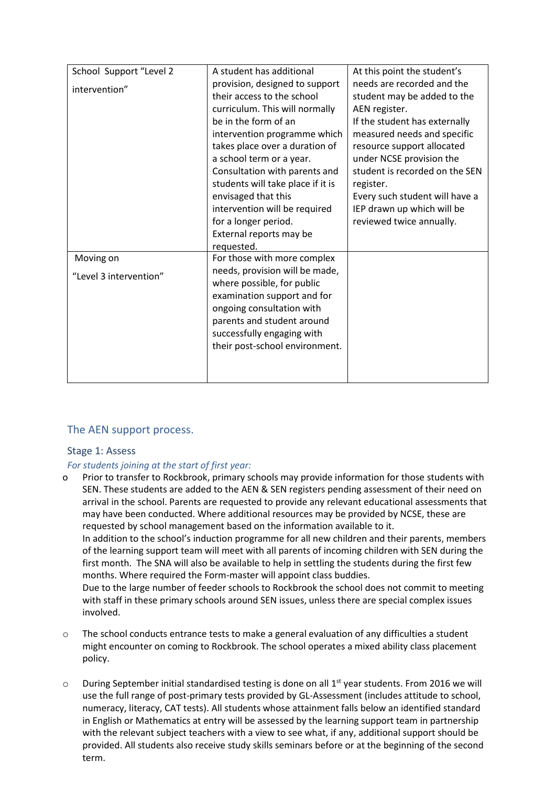| School Support "Level 2             | A student has additional                                                                                                                                                                                                                                                                                                                                                                              | At this point the student's                                                                                                                                                                                                                                                                                                                     |
|-------------------------------------|-------------------------------------------------------------------------------------------------------------------------------------------------------------------------------------------------------------------------------------------------------------------------------------------------------------------------------------------------------------------------------------------------------|-------------------------------------------------------------------------------------------------------------------------------------------------------------------------------------------------------------------------------------------------------------------------------------------------------------------------------------------------|
| intervention"                       | provision, designed to support<br>their access to the school<br>curriculum. This will normally<br>be in the form of an<br>intervention programme which<br>takes place over a duration of<br>a school term or a year.<br>Consultation with parents and<br>students will take place if it is<br>envisaged that this<br>intervention will be required<br>for a longer period.<br>External reports may be | needs are recorded and the<br>student may be added to the<br>AEN register.<br>If the student has externally<br>measured needs and specific<br>resource support allocated<br>under NCSE provision the<br>student is recorded on the SEN<br>register.<br>Every such student will have a<br>IEP drawn up which will be<br>reviewed twice annually. |
| Moving on<br>"Level 3 intervention" | requested.<br>For those with more complex<br>needs, provision will be made,<br>where possible, for public<br>examination support and for<br>ongoing consultation with<br>parents and student around<br>successfully engaging with<br>their post-school environment.                                                                                                                                   |                                                                                                                                                                                                                                                                                                                                                 |

# The AEN support process.

## Stage 1: Assess

## *For students joining at the start of first year:*

o Prior to transfer to Rockbrook, primary schools may provide information for those students with SEN. These students are added to the AEN & SEN registers pending assessment of their need on arrival in the school. Parents are requested to provide any relevant educational assessments that may have been conducted. Where additional resources may be provided by NCSE, these are requested by school management based on the information available to it. In addition to the school's induction programme for all new children and their parents, members of the learning support team will meet with all parents of incoming children with SEN during the first month. The SNA will also be available to help in settling the students during the first few

months. Where required the Form-master will appoint class buddies. Due to the large number of feeder schools to Rockbrook the school does not commit to meeting

with staff in these primary schools around SEN issues, unless there are special complex issues involved.

- $\circ$  The school conducts entrance tests to make a general evaluation of any difficulties a student might encounter on coming to Rockbrook. The school operates a mixed ability class placement policy.
- $\circ$  During September initial standardised testing is done on all 1<sup>st</sup> year students. From 2016 we will use the full range of post-primary tests provided by GL-Assessment (includes attitude to school, numeracy, literacy, CAT tests). All students whose attainment falls below an identified standard in English or Mathematics at entry will be assessed by the learning support team in partnership with the relevant subject teachers with a view to see what, if any, additional support should be provided. All students also receive study skills seminars before or at the beginning of the second term.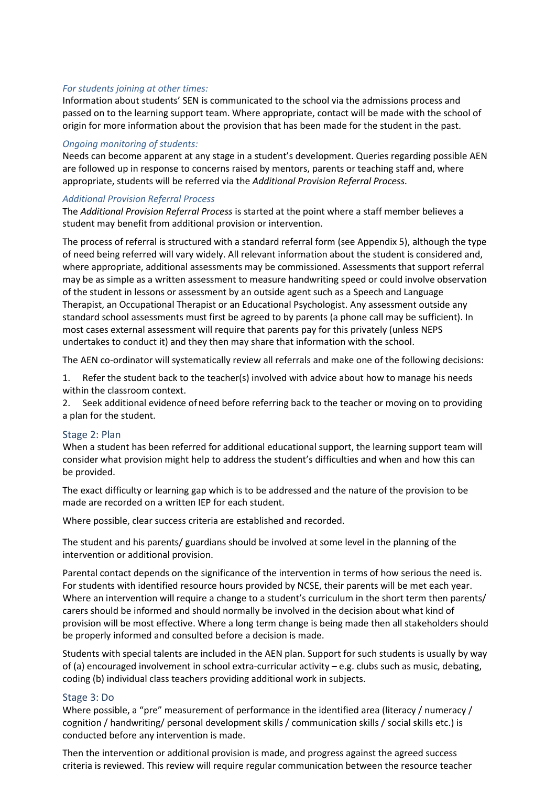#### *For students joining at other times:*

Information about students' SEN is communicated to the school via the admissions process and passed on to the learning support team. Where appropriate, contact will be made with the school of origin for more information about the provision that has been made for the student in the past.

#### *Ongoing monitoring of students:*

Needs can become apparent at any stage in a student's development. Queries regarding possible AEN are followed up in response to concerns raised by mentors, parents or teaching staff and, where appropriate, students will be referred via the *Additional Provision Referral Process.*

#### *Additional Provision Referral Process*

The *Additional Provision Referral Process* is started at the point where a staff member believes a student may benefit from additional provision or intervention.

The process of referral is structured with a standard referral form (see Appendix 5), although the type of need being referred will vary widely. All relevant information about the student is considered and, where appropriate, additional assessments may be commissioned. Assessments that support referral may be as simple as a written assessment to measure handwriting speed or could involve observation of the student in lessons or assessment by an outside agent such as a Speech and Language Therapist, an Occupational Therapist or an Educational Psychologist. Any assessment outside any standard school assessments must first be agreed to by parents (a phone call may be sufficient). In most cases external assessment will require that parents pay for this privately (unless NEPS undertakes to conduct it) and they then may share that information with the school.

The AEN co-ordinator will systematically review all referrals and make one of the following decisions:

1. Refer the student back to the teacher(s) involved with advice about how to manage his needs within the classroom context.

2. Seek additional evidence of need before referring back to the teacher or moving on to providing a plan for the student.

## Stage 2: Plan

When a student has been referred for additional educational support, the learning support team will consider what provision might help to address the student's difficulties and when and how this can be provided.

The exact difficulty or learning gap which is to be addressed and the nature of the provision to be made are recorded on a written IEP for each student.

Where possible, clear success criteria are established and recorded.

The student and his parents/ guardians should be involved at some level in the planning of the intervention or additional provision.

Parental contact depends on the significance of the intervention in terms of how serious the need is. For students with identified resource hours provided by NCSE, their parents will be met each year. Where an intervention will require a change to a student's curriculum in the short term then parents/ carers should be informed and should normally be involved in the decision about what kind of provision will be most effective. Where a long term change is being made then all stakeholders should be properly informed and consulted before a decision is made.

Students with special talents are included in the AEN plan. Support for such students is usually by way of (a) encouraged involvement in school extra-curricular activity – e.g. clubs such as music, debating, coding (b) individual class teachers providing additional work in subjects.

## Stage 3: Do

Where possible, a "pre" measurement of performance in the identified area (literacy / numeracy / cognition / handwriting/ personal development skills / communication skills / social skills etc.) is conducted before any intervention is made.

Then the intervention or additional provision is made, and progress against the agreed success criteria is reviewed. This review will require regular communication between the resource teacher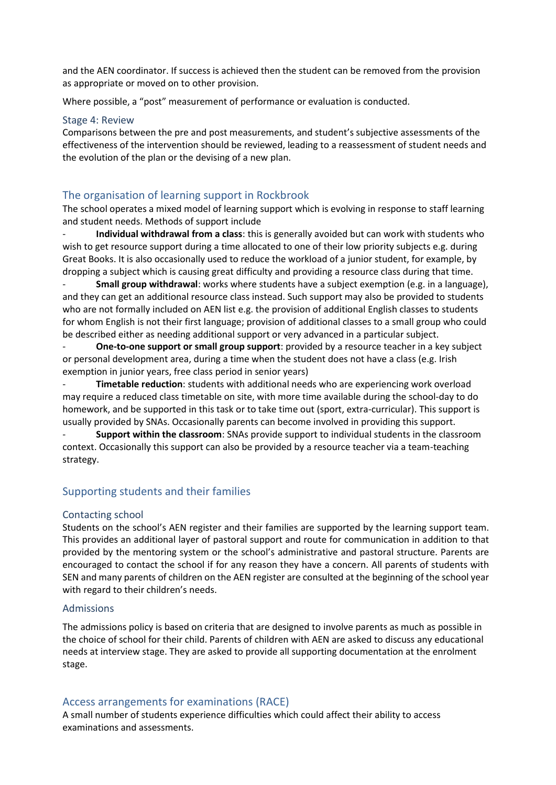and the AEN coordinator. If success is achieved then the student can be removed from the provision as appropriate or moved on to other provision.

Where possible, a "post" measurement of performance or evaluation is conducted.

#### Stage 4: Review

Comparisons between the pre and post measurements, and student's subjective assessments of the effectiveness of the intervention should be reviewed, leading to a reassessment of student needs and the evolution of the plan or the devising of a new plan.

# The organisation of learning support in Rockbrook

The school operates a mixed model of learning support which is evolving in response to staff learning and student needs. Methods of support include

- **Individual withdrawal from a class**: this is generally avoided but can work with students who wish to get resource support during a time allocated to one of their low priority subjects e.g. during Great Books. It is also occasionally used to reduce the workload of a junior student, for example, by dropping a subject which is causing great difficulty and providing a resource class during that time.

- **Small group withdrawal**: works where students have a subject exemption (e.g. in a language), and they can get an additional resource class instead. Such support may also be provided to students who are not formally included on AEN list e.g. the provision of additional English classes to students for whom English is not their first language; provision of additional classes to a small group who could be described either as needing additional support or very advanced in a particular subject.

**One-to-one support or small group support:** provided by a resource teacher in a key subject or personal development area, during a time when the student does not have a class (e.g. Irish exemption in junior years, free class period in senior years)

- **Timetable reduction**: students with additional needs who are experiencing work overload may require a reduced class timetable on site, with more time available during the school-day to do homework, and be supported in this task or to take time out (sport, extra-curricular). This support is usually provided by SNAs. Occasionally parents can become involved in providing this support.

- **Support within the classroom**: SNAs provide support to individual students in the classroom context. Occasionally this support can also be provided by a resource teacher via a team-teaching strategy.

## Supporting students and their families

## Contacting school

Students on the school's AEN register and their families are supported by the learning support team. This provides an additional layer of pastoral support and route for communication in addition to that provided by the mentoring system or the school's administrative and pastoral structure. Parents are encouraged to contact the school if for any reason they have a concern. All parents of students with SEN and many parents of children on the AEN register are consulted at the beginning of the school year with regard to their children's needs.

## Admissions

The admissions policy is based on criteria that are designed to involve parents as much as possible in the choice of school for their child. Parents of children with AEN are asked to discuss any educational needs at interview stage. They are asked to provide all supporting documentation at the enrolment stage.

## Access arrangements for examinations (RACE)

A small number of students experience difficulties which could affect their ability to access examinations and assessments.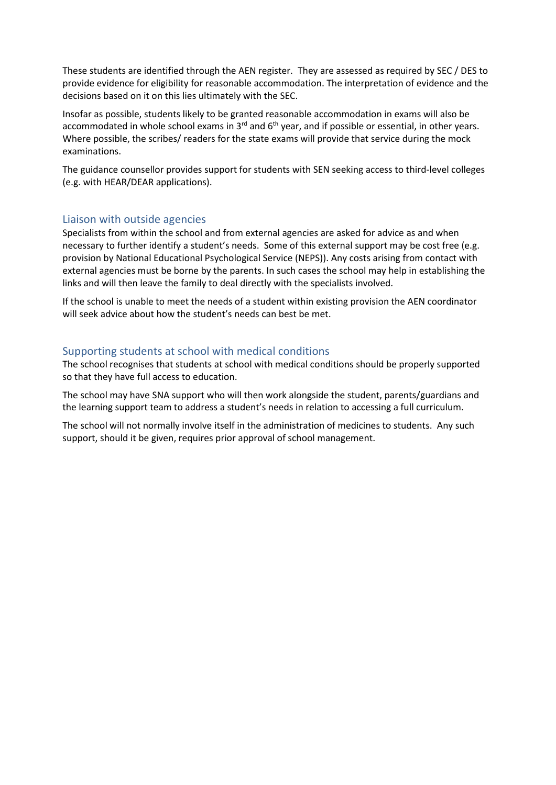These students are identified through the AEN register. They are assessed as required by SEC / DES to provide evidence for eligibility for reasonable accommodation. The interpretation of evidence and the decisions based on it on this lies ultimately with the SEC.

Insofar as possible, students likely to be granted reasonable accommodation in exams will also be accommodated in whole school exams in  $3^{rd}$  and  $6^{th}$  year, and if possible or essential, in other years. Where possible, the scribes/ readers for the state exams will provide that service during the mock examinations.

The guidance counsellor provides support for students with SEN seeking access to third-level colleges (e.g. with HEAR/DEAR applications).

## Liaison with outside agencies

Specialists from within the school and from external agencies are asked for advice as and when necessary to further identify a student's needs. Some of this external support may be cost free (e.g. provision by National Educational Psychological Service (NEPS)). Any costs arising from contact with external agencies must be borne by the parents. In such cases the school may help in establishing the links and will then leave the family to deal directly with the specialists involved.

If the school is unable to meet the needs of a student within existing provision the AEN coordinator will seek advice about how the student's needs can best be met.

## Supporting students at school with medical conditions

The school recognises that students at school with medical conditions should be properly supported so that they have full access to education.

The school may have SNA support who will then work alongside the student, parents/guardians and the learning support team to address a student's needs in relation to accessing a full curriculum.

The school will not normally involve itself in the administration of medicines to students. Any such support, should it be given, requires prior approval of school management.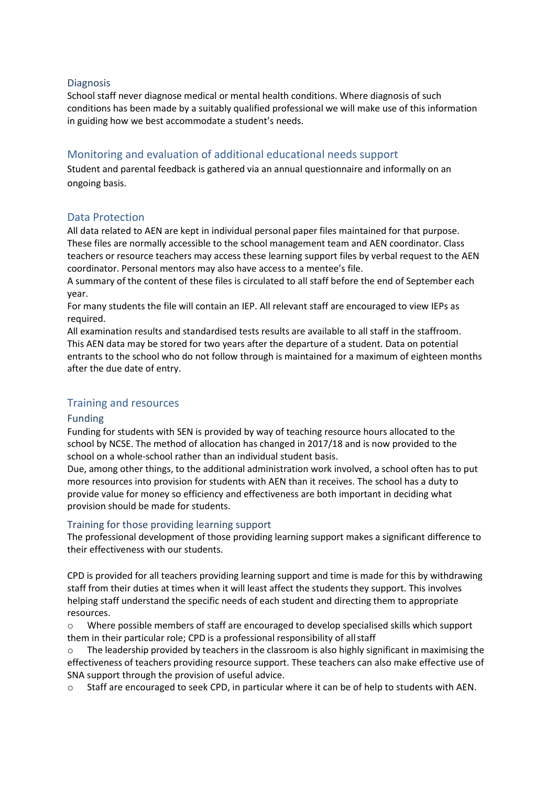## **Diagnosis**

School staff never diagnose medical or mental health conditions. Where diagnosis of such conditions has been made by a suitably qualified professional we will make use of this information in guiding how we best accommodate a student's needs.

# Monitoring and evaluation of additional educational needs support

Student and parental feedback is gathered via an annual questionnaire and informally on an ongoing basis.

## Data Protection

All data related to AEN are kept in individual personal paper files maintained for that purpose. These files are normally accessible to the school management team and AEN coordinator. Class teachers or resource teachers may access these learning support files by verbal request to the AEN coordinator. Personal mentors may also have access to a mentee's file.

A summary of the content of these files is circulated to all staff before the end of September each year.

For many students the file will contain an IEP. All relevant staff are encouraged to view IEPs as required.

All examination results and standardised tests results are available to all staff in the staffroom. This AEN data may be stored for two years after the departure of a student. Data on potential entrants to the school who do not follow through is maintained for a maximum of eighteen months after the due date of entry.

## Training and resources

## Funding

Funding for students with SEN is provided by way of teaching resource hours allocated to the school by NCSE. The method of allocation has changed in 2017/18 and is now provided to the school on a whole-school rather than an individual student basis.

Due, among other things, to the additional administration work involved, a school often has to put more resources into provision for students with AEN than it receives. The school has a duty to provide value for money so efficiency and effectiveness are both important in deciding what provision should be made for students.

## Training for those providing learning support

The professional development of those providing learning support makes a significant difference to their effectiveness with our students.

CPD is provided for all teachers providing learning support and time is made for this by withdrawing staff from their duties at times when it will least affect the students they support. This involves helping staff understand the specific needs of each student and directing them to appropriate resources.

o Where possible members of staff are encouraged to develop specialised skills which support them in their particular role; CPD is a professional responsibility of allstaff

o The leadership provided by teachers in the classroom is also highly significant in maximising the effectiveness of teachers providing resource support. These teachers can also make effective use of SNA support through the provision of useful advice.

Staff are encouraged to seek CPD, in particular where it can be of help to students with AEN.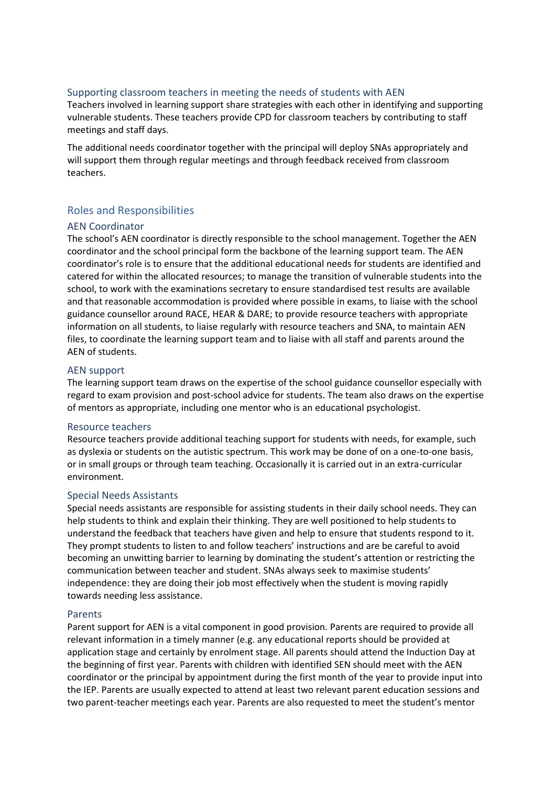## Supporting classroom teachers in meeting the needs of students with AEN

Teachers involved in learning support share strategies with each other in identifying and supporting vulnerable students. These teachers provide CPD for classroom teachers by contributing to staff meetings and staff days.

The additional needs coordinator together with the principal will deploy SNAs appropriately and will support them through regular meetings and through feedback received from classroom teachers.

## Roles and Responsibilities

#### AEN Coordinator

The school's AEN coordinator is directly responsible to the school management. Together the AEN coordinator and the school principal form the backbone of the learning support team. The AEN coordinator's role is to ensure that the additional educational needs for students are identified and catered for within the allocated resources; to manage the transition of vulnerable students into the school, to work with the examinations secretary to ensure standardised test results are available and that reasonable accommodation is provided where possible in exams, to liaise with the school guidance counsellor around RACE, HEAR & DARE; to provide resource teachers with appropriate information on all students, to liaise regularly with resource teachers and SNA, to maintain AEN files, to coordinate the learning support team and to liaise with all staff and parents around the AEN of students.

## AEN support

The learning support team draws on the expertise of the school guidance counsellor especially with regard to exam provision and post-school advice for students. The team also draws on the expertise of mentors as appropriate, including one mentor who is an educational psychologist.

#### Resource teachers

Resource teachers provide additional teaching support for students with needs, for example, such as dyslexia or students on the autistic spectrum. This work may be done of on a one-to-one basis, or in small groups or through team teaching. Occasionally it is carried out in an extra-curricular environment.

## Special Needs Assistants

Special needs assistants are responsible for assisting students in their daily school needs. They can help students to think and explain their thinking. They are well positioned to help students to understand the feedback that teachers have given and help to ensure that students respond to it. They prompt students to listen to and follow teachers' instructions and are be careful to avoid becoming an unwitting barrier to learning by dominating the student's attention or restricting the communication between teacher and student. SNAs always seek to maximise students' independence: they are doing their job most effectively when the student is moving rapidly towards needing less assistance.

#### Parents

Parent support for AEN is a vital component in good provision. Parents are required to provide all relevant information in a timely manner (e.g. any educational reports should be provided at application stage and certainly by enrolment stage. All parents should attend the Induction Day at the beginning of first year. Parents with children with identified SEN should meet with the AEN coordinator or the principal by appointment during the first month of the year to provide input into the IEP. Parents are usually expected to attend at least two relevant parent education sessions and two parent-teacher meetings each year. Parents are also requested to meet the student's mentor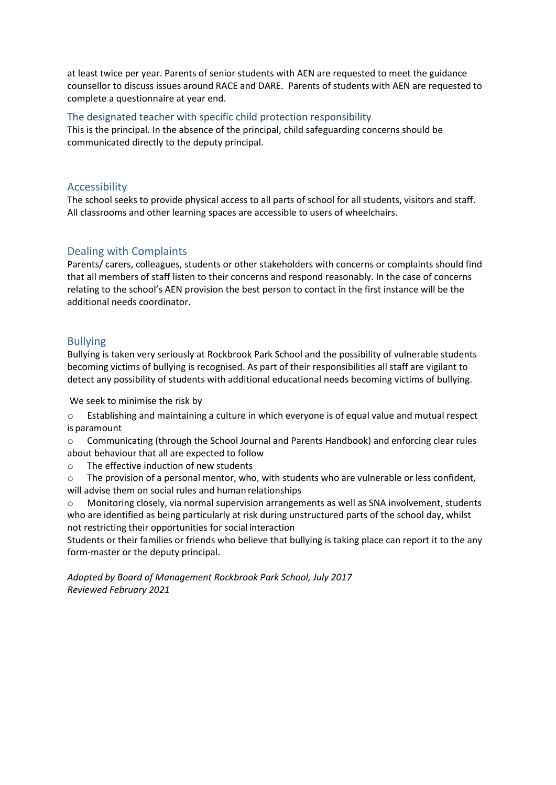at least twice per year. Parents of senior students with AEN are requested to meet the guidance counsellor to discuss issues around RACE and DARE. Parents of students with AEN are requested to complete a questionnaire at year end.

## The designated teacher with specific child protection responsibility

This is the principal. In the absence of the principal, child safeguarding concerns should be communicated directly to the deputy principal.

## Accessibility

The school seeks to provide physical access to all parts of school for all students, visitors and staff. All classrooms and other learning spaces are accessible to users of wheelchairs.

# Dealing with Complaints

Parents/ carers, colleagues, students or other stakeholders with concerns or complaints should find that all members of staff listen to their concerns and respond reasonably. In the case of concerns relating to the school's AEN provision the best person to contact in the first instance will be the additional needs coordinator.

# Bullying

Bullying is taken very seriously at Rockbrook Park School and the possibility of vulnerable students becoming victims of bullying is recognised. As part of their responsibilities all staff are vigilant to detect any possibility of students with additional educational needs becoming victims of bullying.

We seek to minimise the risk by

o Establishing and maintaining a culture in which everyone is of equal value and mutual respect is paramount

o Communicating (through the School Journal and Parents Handbook) and enforcing clear rules about behaviour that all are expected to follow

o The effective induction of new students

 $\circ$  The provision of a personal mentor, who, with students who are vulnerable or less confident, will advise them on social rules and human relationships

o Monitoring closely, via normal supervision arrangements as well as SNA involvement, students who are identified as being particularly at risk during unstructured parts of the school day, whilst not restricting their opportunities for social interaction

Students or their families or friends who believe that bullying is taking place can report it to the any form-master or the deputy principal.

*Adopted by Board of Management Rockbrook Park School, July 2017 Reviewed February 2021*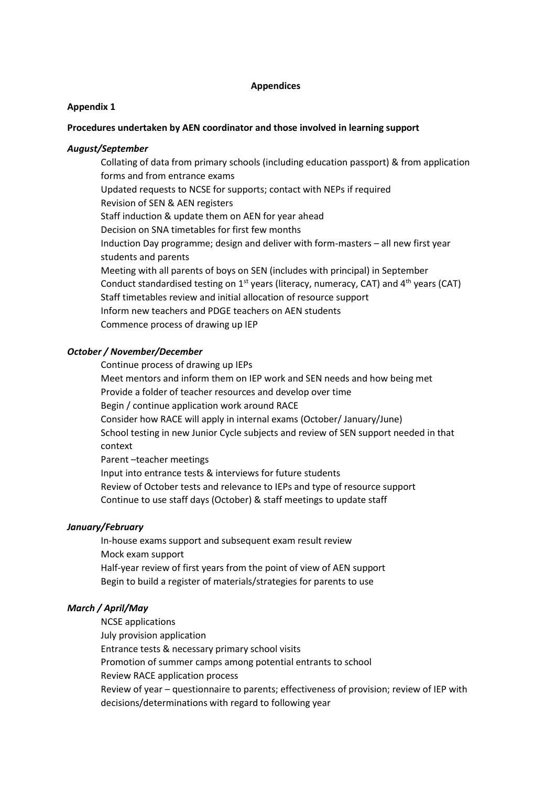#### **Appendices**

#### **Appendix 1**

#### **Procedures undertaken by AEN coordinator and those involved in learning support**

#### *August/September*

Collating of data from primary schools (including education passport) & from application forms and from entrance exams Updated requests to NCSE for supports; contact with NEPs if required Revision of SEN & AEN registers Staff induction & update them on AEN for year ahead Decision on SNA timetables for first few months Induction Day programme; design and deliver with form-masters – all new first year students and parents Meeting with all parents of boys on SEN (includes with principal) in September Conduct standardised testing on  $1<sup>st</sup>$  years (literacy, numeracy, CAT) and  $4<sup>th</sup>$  years (CAT) Staff timetables review and initial allocation of resource support Inform new teachers and PDGE teachers on AEN students Commence process of drawing up IEP

#### *October / November/December*

Continue process of drawing up IEPs Meet mentors and inform them on IEP work and SEN needs and how being met Provide a folder of teacher resources and develop over time Begin / continue application work around RACE Consider how RACE will apply in internal exams (October/ January/June) School testing in new Junior Cycle subjects and review of SEN support needed in that context Parent –teacher meetings

Input into entrance tests & interviews for future students Review of October tests and relevance to IEPs and type of resource support Continue to use staff days (October) & staff meetings to update staff

#### *January/February*

In-house exams support and subsequent exam result review Mock exam support Half-year review of first years from the point of view of AEN support Begin to build a register of materials/strategies for parents to use

#### *March / April/May*

NCSE applications July provision application Entrance tests & necessary primary school visits Promotion of summer camps among potential entrants to school Review RACE application process Review of year – questionnaire to parents; effectiveness of provision; review of IEP with decisions/determinations with regard to following year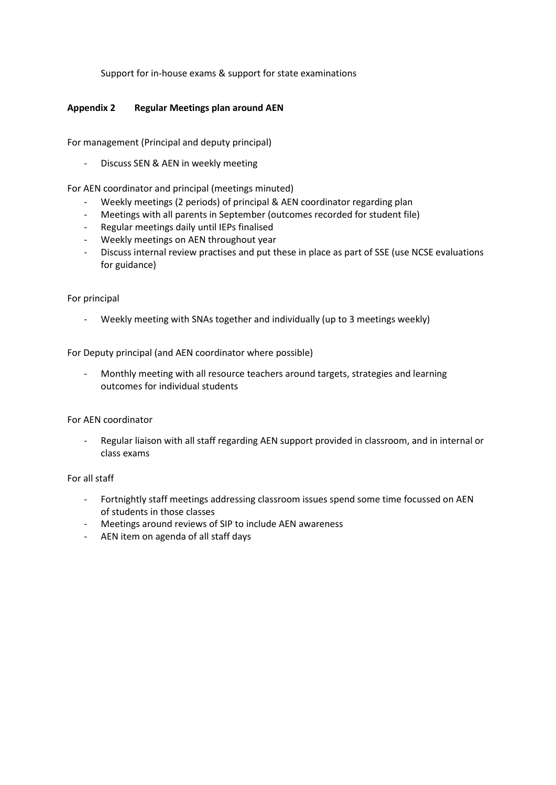Support for in-house exams & support for state examinations

## **Appendix 2 Regular Meetings plan around AEN**

For management (Principal and deputy principal)

- Discuss SEN & AEN in weekly meeting

For AEN coordinator and principal (meetings minuted)

- Weekly meetings (2 periods) of principal & AEN coordinator regarding plan
- Meetings with all parents in September (outcomes recorded for student file)
- Regular meetings daily until IEPs finalised
- Weekly meetings on AEN throughout year
- Discuss internal review practises and put these in place as part of SSE (use NCSE evaluations for guidance)

#### For principal

Weekly meeting with SNAs together and individually (up to 3 meetings weekly)

For Deputy principal (and AEN coordinator where possible)

- Monthly meeting with all resource teachers around targets, strategies and learning outcomes for individual students

## For AEN coordinator

- Regular liaison with all staff regarding AEN support provided in classroom, and in internal or class exams

#### For all staff

- Fortnightly staff meetings addressing classroom issues spend some time focussed on AEN of students in those classes
- Meetings around reviews of SIP to include AEN awareness
- AEN item on agenda of all staff days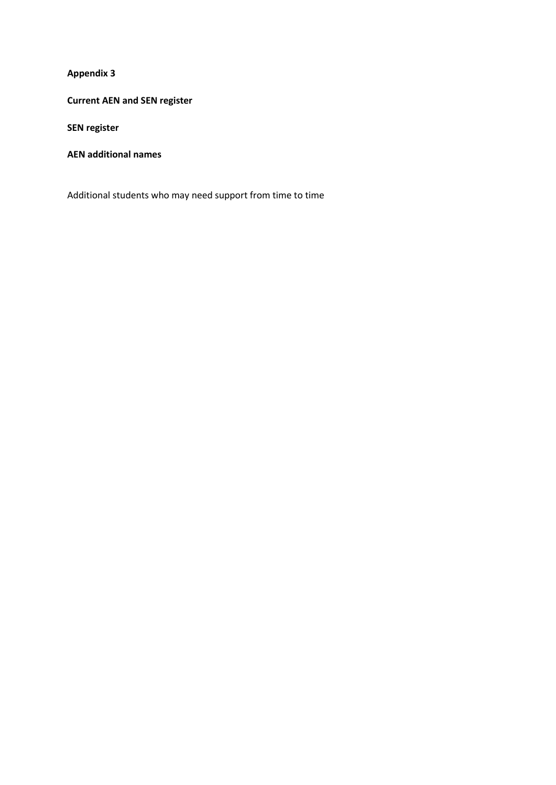**Current AEN and SEN register** 

**SEN register**

**AEN additional names**

Additional students who may need support from time to time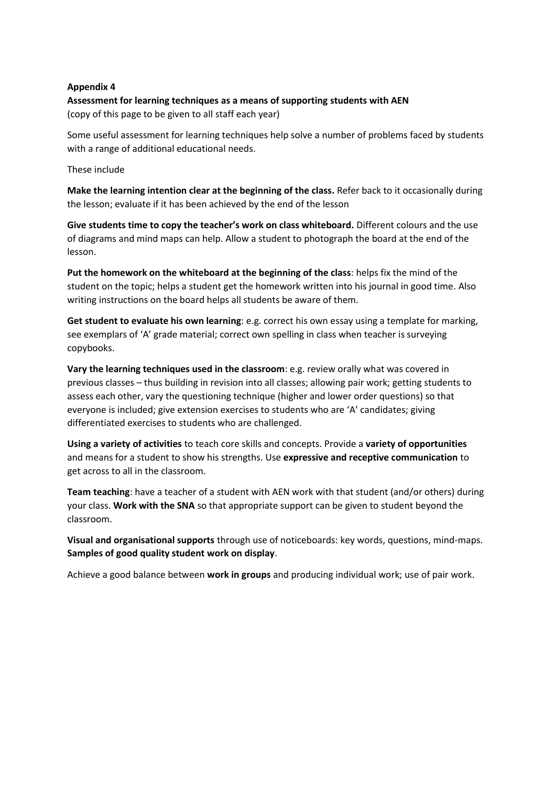# **Assessment for learning techniques as a means of supporting students with AEN**

(copy of this page to be given to all staff each year)

Some useful assessment for learning techniques help solve a number of problems faced by students with a range of additional educational needs.

These include

**Make the learning intention clear at the beginning of the class.** Refer back to it occasionally during the lesson; evaluate if it has been achieved by the end of the lesson

**Give students time to copy the teacher's work on class whiteboard.** Different colours and the use of diagrams and mind maps can help. Allow a student to photograph the board at the end of the lesson.

**Put the homework on the whiteboard at the beginning of the class**: helps fix the mind of the student on the topic; helps a student get the homework written into his journal in good time. Also writing instructions on the board helps all students be aware of them.

**Get student to evaluate his own learning**: e.g. correct his own essay using a template for marking, see exemplars of 'A' grade material; correct own spelling in class when teacher is surveying copybooks.

**Vary the learning techniques used in the classroom**: e.g. review orally what was covered in previous classes – thus building in revision into all classes; allowing pair work; getting students to assess each other, vary the questioning technique (higher and lower order questions) so that everyone is included; give extension exercises to students who are 'A' candidates; giving differentiated exercises to students who are challenged.

**Using a variety of activities** to teach core skills and concepts. Provide a **variety of opportunities** and means for a student to show his strengths. Use **expressive and receptive communication** to get across to all in the classroom.

**Team teaching**: have a teacher of a student with AEN work with that student (and/or others) during your class. **Work with the SNA** so that appropriate support can be given to student beyond the classroom.

**Visual and organisational supports** through use of noticeboards: key words, questions, mind-maps. **Samples of good quality student work on display**.

Achieve a good balance between **work in groups** and producing individual work; use of pair work.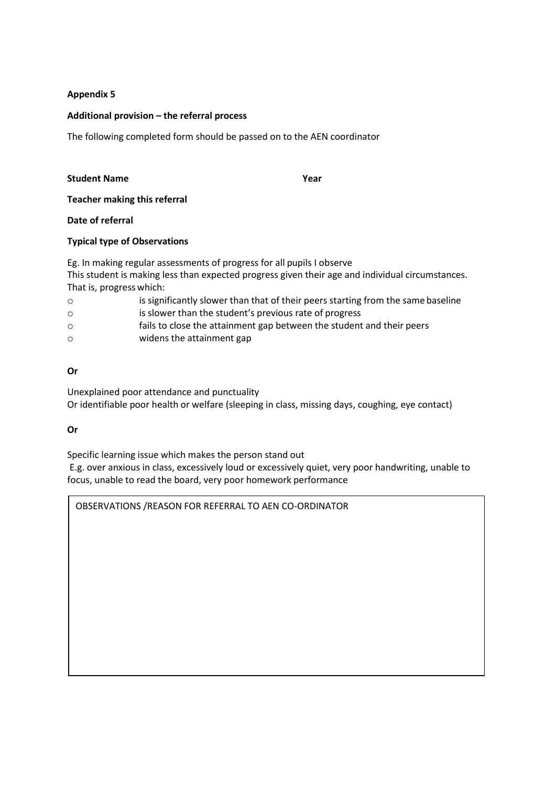## **Additional provision – the referral process**

The following completed form should be passed on to the AEN coordinator

#### **Student Name Year**

**Teacher making this referral**

**Date of referral**

## **Typical type of Observations**

Eg. In making regular assessments of progress for all pupils I observe This student is making less than expected progress given their age and individual circumstances. That is, progress which:

| $\circ$  | is significantly slower than that of their peers starting from the same baseline |
|----------|----------------------------------------------------------------------------------|
| $\circ$  | is slower than the student's previous rate of progress                           |
| $\Omega$ | fails to close the attainment gap between the student and their peers            |

o widens the attainment gap

## **Or**

Unexplained poor attendance and punctuality Or identifiable poor health or welfare (sleeping in class, missing days, coughing, eye contact)

## **Or**

Specific learning issue which makes the person stand out

E.g. over anxious in class, excessively loud or excessively quiet, very poor handwriting, unable to focus, unable to read the board, very poor homework performance

OBSERVATIONS /REASON FOR REFERRAL TO AEN CO-ORDINATOR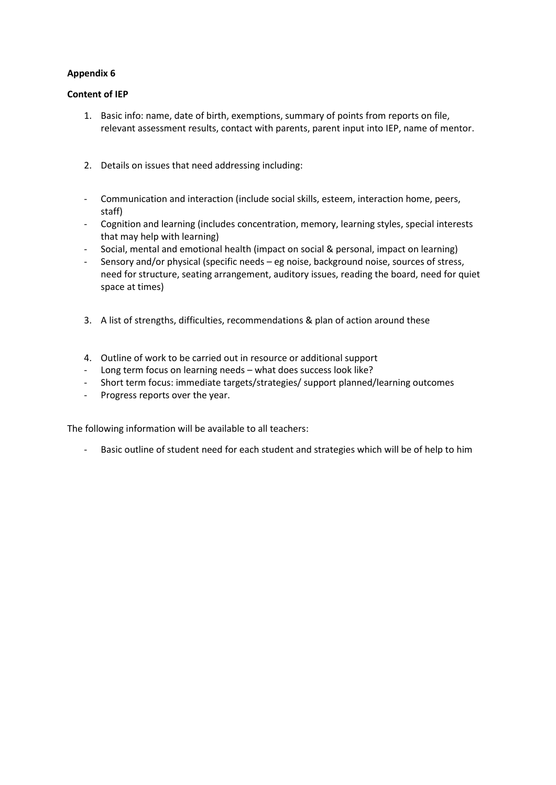## **Content of IEP**

- 1. Basic info: name, date of birth, exemptions, summary of points from reports on file, relevant assessment results, contact with parents, parent input into IEP, name of mentor.
- 2. Details on issues that need addressing including:
- Communication and interaction (include social skills, esteem, interaction home, peers, staff)
- Cognition and learning (includes concentration, memory, learning styles, special interests that may help with learning)
- Social, mental and emotional health (impact on social & personal, impact on learning)
- Sensory and/or physical (specific needs eg noise, background noise, sources of stress, need for structure, seating arrangement, auditory issues, reading the board, need for quiet space at times)
- 3. A list of strengths, difficulties, recommendations & plan of action around these
- 4. Outline of work to be carried out in resource or additional support
- Long term focus on learning needs what does success look like?
- Short term focus: immediate targets/strategies/ support planned/learning outcomes
- Progress reports over the year.

The following information will be available to all teachers:

Basic outline of student need for each student and strategies which will be of help to him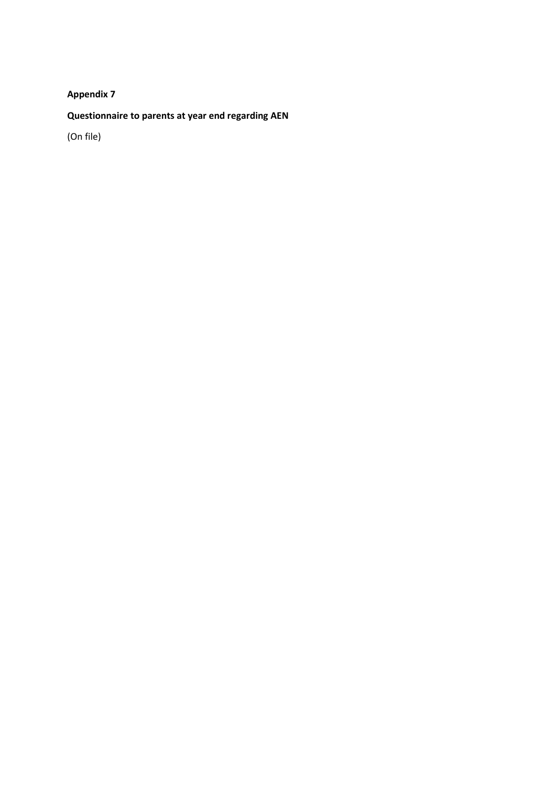# **Questionnaire to parents at year end regarding AEN**

(On file)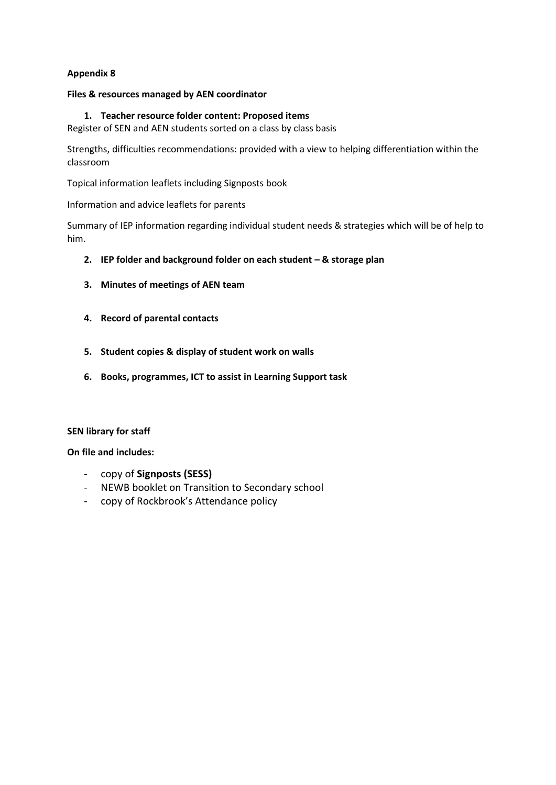## **Files & resources managed by AEN coordinator**

## **1. Teacher resource folder content: Proposed items**

Register of SEN and AEN students sorted on a class by class basis

Strengths, difficulties recommendations: provided with a view to helping differentiation within the classroom

Topical information leaflets including Signposts book

Information and advice leaflets for parents

Summary of IEP information regarding individual student needs & strategies which will be of help to him.

- **2. IEP folder and background folder on each student – & storage plan**
- **3. Minutes of meetings of AEN team**
- **4. Record of parental contacts**
- **5. Student copies & display of student work on walls**
- **6. Books, programmes, ICT to assist in Learning Support task**

## **SEN library for staff**

## **On file and includes:**

- copy of **Signposts (SESS)**
- NEWB booklet on Transition to Secondary school
- copy of Rockbrook's Attendance policy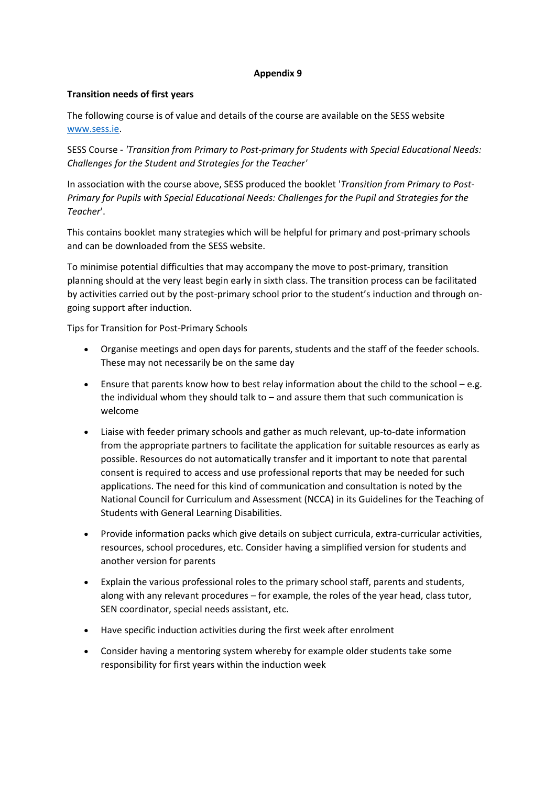## **Transition needs of first years**

The following course is of value and details of the course are available on the SESS website [www.sess.ie.](http://www.sess.ie/)

SESS Course - *'Transition from Primary to Post-primary for Students with Special Educational Needs: Challenges for the Student and Strategies for the Teacher'*

In association with the course above, SESS produced the booklet '*Transition from Primary to Post-Primary for Pupils with Special Educational Needs: Challenges for the Pupil and Strategies for the Teacher*'.

This contains booklet many strategies which will be helpful for primary and post-primary schools and can be downloaded from the SESS website.

To minimise potential difficulties that may accompany the move to post-primary, transition planning should at the very least begin early in sixth class. The transition process can be facilitated by activities carried out by the post-primary school prior to the student's induction and through ongoing support after induction.

Tips for Transition for Post-Primary Schools

- Organise meetings and open days for parents, students and the staff of the feeder schools. These may not necessarily be on the same day
- Ensure that parents know how to best relay information about the child to the school e.g. the individual whom they should talk to  $-$  and assure them that such communication is welcome
- Liaise with feeder primary schools and gather as much relevant, up-to-date information from the appropriate partners to facilitate the application for suitable resources as early as possible. Resources do not automatically transfer and it important to note that parental consent is required to access and use professional reports that may be needed for such applications. The need for this kind of communication and consultation is noted by the National Council for Curriculum and Assessment (NCCA) in its Guidelines for the Teaching of Students with General Learning Disabilities.
- Provide information packs which give details on subject curricula, extra-curricular activities, resources, school procedures, etc. Consider having a simplified version for students and another version for parents
- Explain the various professional roles to the primary school staff, parents and students, along with any relevant procedures – for example, the roles of the year head, class tutor, SEN coordinator, special needs assistant, etc.
- Have specific induction activities during the first week after enrolment
- Consider having a mentoring system whereby for example older students take some responsibility for first years within the induction week